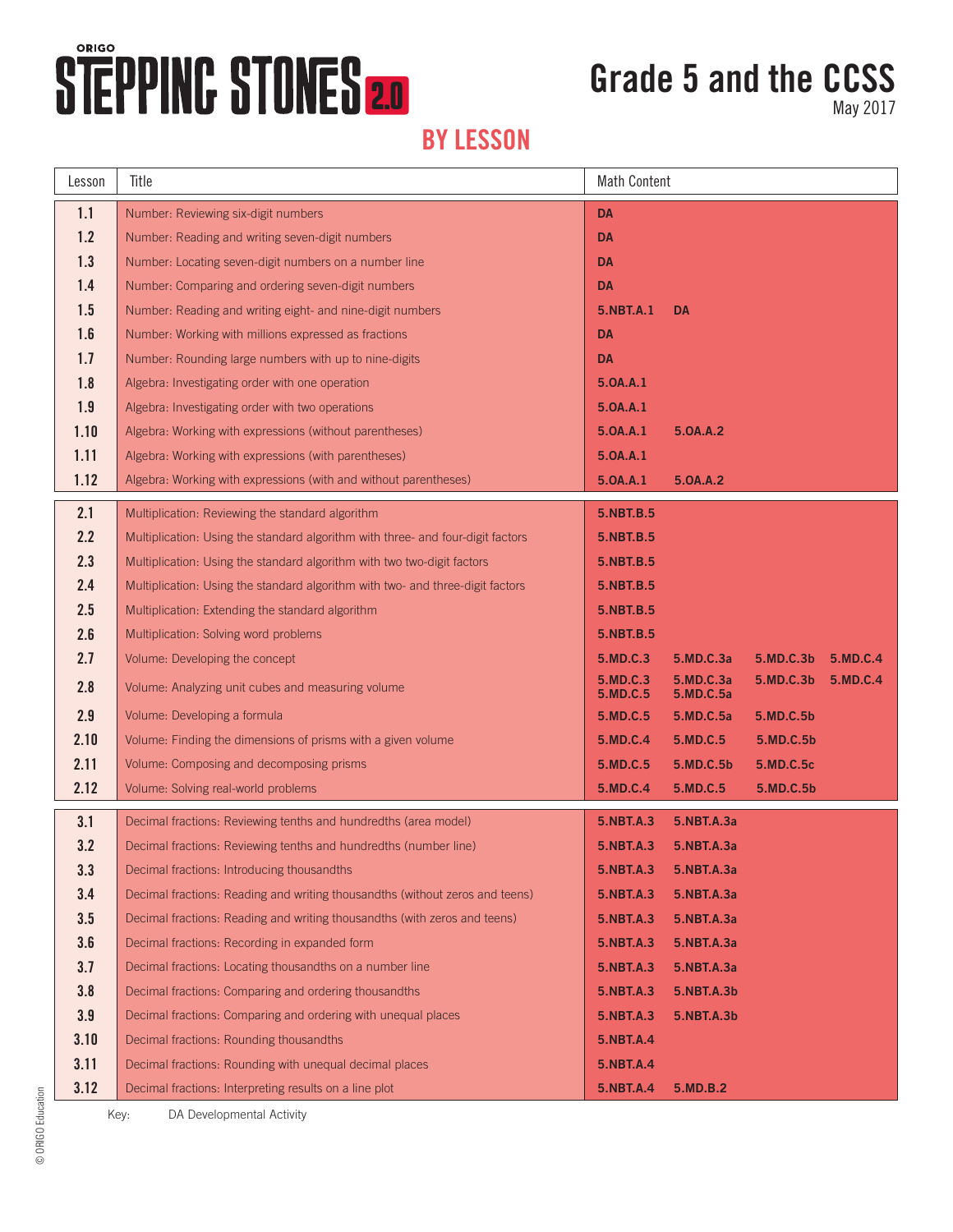## **STEPPINC STONES 2.0**

## **Grade 5 and the CCSS**

May 2017

### **BY LESSON**

| Lesson | Title                                                                           | <b>Math Content</b>  |                        |           |          |
|--------|---------------------------------------------------------------------------------|----------------------|------------------------|-----------|----------|
| 1.1    | Number: Reviewing six-digit numbers                                             | <b>DA</b>            |                        |           |          |
| 1.2    | Number: Reading and writing seven-digit numbers                                 | <b>DA</b>            |                        |           |          |
| 1.3    | Number: Locating seven-digit numbers on a number line                           | <b>DA</b>            |                        |           |          |
| 1.4    | Number: Comparing and ordering seven-digit numbers                              | <b>DA</b>            |                        |           |          |
| 1.5    | Number: Reading and writing eight- and nine-digit numbers                       | <b>5.NBT.A.1</b>     | <b>DA</b>              |           |          |
| 1.6    | Number: Working with millions expressed as fractions                            | <b>DA</b>            |                        |           |          |
| 1.7    | Number: Rounding large numbers with up to nine-digits                           | <b>DA</b>            |                        |           |          |
| 1.8    | Algebra: Investigating order with one operation                                 | 5.0A.A.1             |                        |           |          |
| 1.9    | Algebra: Investigating order with two operations                                | 5.0A.A.1             |                        |           |          |
| 1.10   | Algebra: Working with expressions (without parentheses)                         | 5.0A.A.1             | 5.0A.A.2               |           |          |
| 1.11   | Algebra: Working with expressions (with parentheses)                            | 5.0A.A.1             |                        |           |          |
| 1.12   | Algebra: Working with expressions (with and without parentheses)                | 5.0A.A.1             | 5.0A.A.2               |           |          |
| 2.1    | Multiplication: Reviewing the standard algorithm                                | 5.NBT.B.5            |                        |           |          |
| 2.2    | Multiplication: Using the standard algorithm with three- and four-digit factors | 5.NBT.B.5            |                        |           |          |
| 2.3    | Multiplication: Using the standard algorithm with two two-digit factors         | <b>5.NBT.B.5</b>     |                        |           |          |
| 2.4    | Multiplication: Using the standard algorithm with two- and three-digit factors  | <b>5.NBT.B.5</b>     |                        |           |          |
| 2.5    | Multiplication: Extending the standard algorithm                                | 5.NBT.B.5            |                        |           |          |
| 2.6    | Multiplication: Solving word problems                                           | 5.NBT.B.5            |                        |           |          |
| 2.7    | Volume: Developing the concept                                                  | 5.MD.C.3             | 5.MD.C.3a              | 5.MD.C.3b | 5.MD.C.4 |
| 2.8    | Volume: Analyzing unit cubes and measuring volume                               | 5.MD.C.3<br>5.MD.C.5 | 5.MD.C.3a<br>5.MD.C.5a | 5.MD.C.3b | 5.MD.C.4 |
| 2.9    | Volume: Developing a formula                                                    | 5.MD.C.5             | 5.MD.C.5a              | 5.MD.C.5b |          |
| 2.10   | Volume: Finding the dimensions of prisms with a given volume                    | 5.MD.C.4             | 5.MD.C.5               | 5.MD.C.5b |          |
| 2.11   | Volume: Composing and decomposing prisms                                        | 5.MD.C.5             | 5.MD.C.5b              | 5.MD.C.5c |          |
| 2.12   | Volume: Solving real-world problems                                             | 5.MD.C.4             | 5.MD.C.5               | 5.MD.C.5b |          |
| 3.1    | Decimal fractions: Reviewing tenths and hundredths (area model)                 | 5.NBT.A.3            | 5.NBT.A.3a             |           |          |
| 3.2    | Decimal fractions: Reviewing tenths and hundredths (number line)                | <b>5.NBT.A.3</b>     | 5.NBT.A.3a             |           |          |
| 3.3    | Decimal fractions: Introducing thousandths                                      | <b>5.NBT.A.3</b>     | 5.NBT.A.3a             |           |          |
| 3.4    | Decimal fractions: Reading and writing thousandths (without zeros and teens)    | 5.NBT.A.3            | 5.NBT.A.3a             |           |          |
| 3.5    | Decimal fractions: Reading and writing thousandths (with zeros and teens)       | <b>5.NBT.A.3</b>     | 5.NBT.A.3a             |           |          |
| 3.6    | Decimal fractions: Recording in expanded form                                   | 5.NBT.A.3            | 5.NBT.A.3a             |           |          |
| 3.7    | Decimal fractions: Locating thousandths on a number line                        | 5.NBT.A.3            | 5.NBT.A.3a             |           |          |
| 3.8    | Decimal fractions: Comparing and ordering thousandths                           | 5.NBT.A.3            | 5.NBT.A.3b             |           |          |
| 3.9    | Decimal fractions: Comparing and ordering with unequal places                   | 5.NBT.A.3            | 5.NBT.A.3b             |           |          |
| 3.10   | Decimal fractions: Rounding thousandths                                         | 5.NBT.A.4            |                        |           |          |
| 3.11   | Decimal fractions: Rounding with unequal decimal places                         | 5.NBT.A.4            |                        |           |          |
| 3.12   | Decimal fractions: Interpreting results on a line plot                          | <b>5.NBT.A.4</b>     | 5.MD.B.2               |           |          |

Key: DA Developmental Activity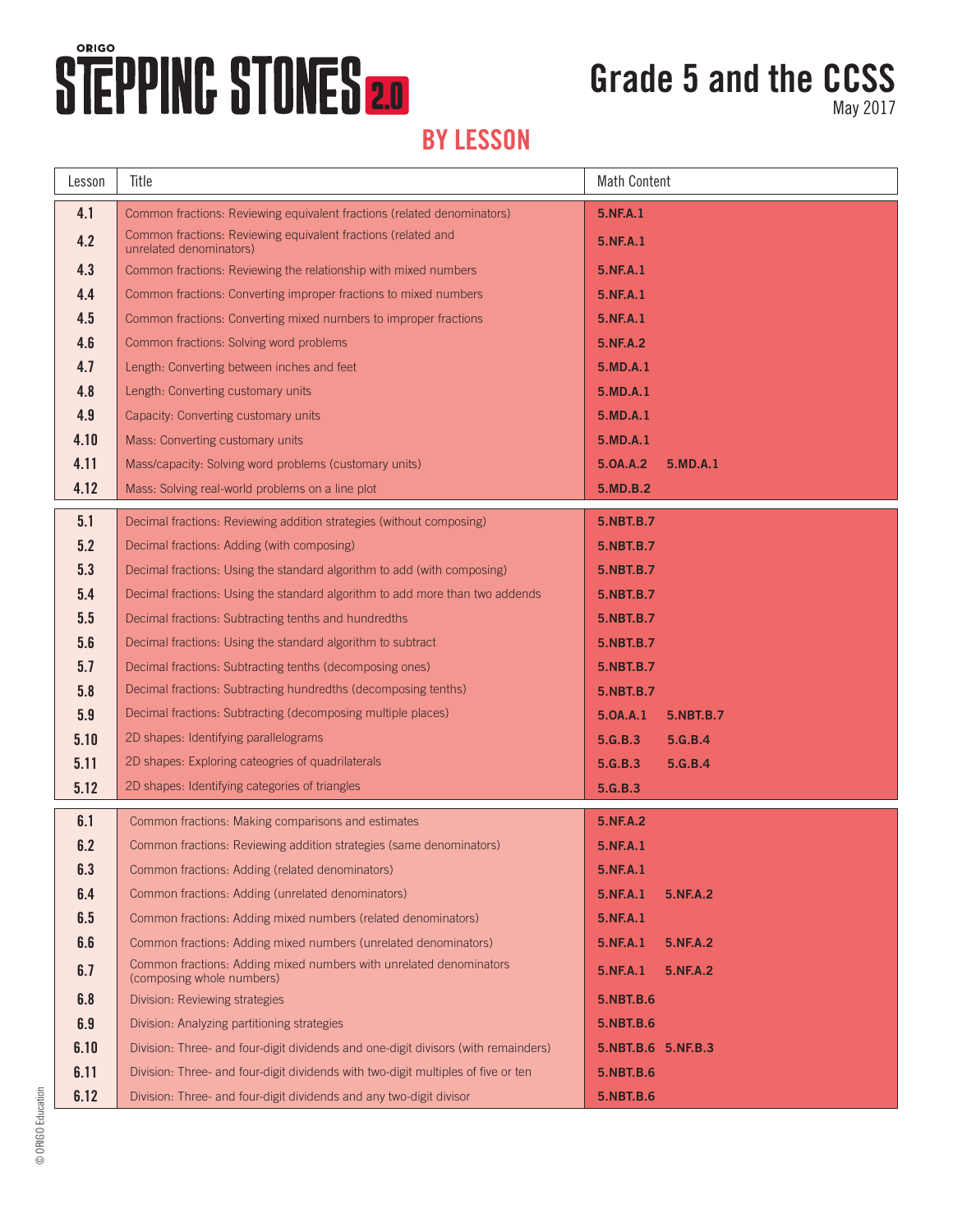# STEPPINC STONES 20

## **Grade 5 and the CCSS**

May 2017

### **BY LESSON**

| Lesson | Title                                                                                           | <b>Math Content</b>         |  |  |
|--------|-------------------------------------------------------------------------------------------------|-----------------------------|--|--|
| 4.1    | Common fractions: Reviewing equivalent fractions (related denominators)                         | 5.NF.A.1                    |  |  |
| 4.2    | Common fractions: Reviewing equivalent fractions (related and<br>unrelated denominators)        | 5.NF.A.1                    |  |  |
| 4.3    | Common fractions: Reviewing the relationship with mixed numbers                                 | 5.NF.A.1                    |  |  |
| 4.4    | Common fractions: Converting improper fractions to mixed numbers                                | 5.NF.A.1                    |  |  |
| 4.5    | Common fractions: Converting mixed numbers to improper fractions                                | 5.NF.A.1                    |  |  |
| 4.6    | Common fractions: Solving word problems                                                         | 5.NF.A.2                    |  |  |
| 4.7    | Length: Converting between inches and feet                                                      | 5.MD.A.1                    |  |  |
| 4.8    | Length: Converting customary units                                                              | 5.MD.A.1                    |  |  |
| 4.9    | Capacity: Converting customary units                                                            | 5.MD.A.1                    |  |  |
| 4.10   | Mass: Converting customary units                                                                | 5.MD.A.1                    |  |  |
| 4.11   | Mass/capacity: Solving word problems (customary units)                                          | 5.0A.A.2<br>5.MD.A.1        |  |  |
| 4.12   | Mass: Solving real-world problems on a line plot                                                | 5.MD.B.2                    |  |  |
| 5.1    | Decimal fractions: Reviewing addition strategies (without composing)                            | 5.NBT.B.7                   |  |  |
| 5.2    | Decimal fractions: Adding (with composing)                                                      | 5.NBT.B.7                   |  |  |
| 5.3    | Decimal fractions: Using the standard algorithm to add (with composing)                         | 5.NBT.B.7                   |  |  |
| 5.4    | Decimal fractions: Using the standard algorithm to add more than two addends                    | 5.NBT.B.7                   |  |  |
| 5.5    | Decimal fractions: Subtracting tenths and hundredths                                            | 5.NBT.B.7                   |  |  |
| 5.6    | Decimal fractions: Using the standard algorithm to subtract                                     | 5.NBT.B.7                   |  |  |
| 5.7    | Decimal fractions: Subtracting tenths (decomposing ones)                                        | 5.NBT.B.7                   |  |  |
| 5.8    | Decimal fractions: Subtracting hundredths (decomposing tenths)                                  | 5.NBT.B.7                   |  |  |
| 5.9    | Decimal fractions: Subtracting (decomposing multiple places)                                    | 5.0A.A.1<br>5.NBT.B.7       |  |  |
| 5.10   | 2D shapes: Identifying parallelograms                                                           | 5.G.B.3<br>5.G.B.4          |  |  |
| 5.11   | 2D shapes: Exploring cateogries of quadrilaterals                                               | 5.G.B.3<br>5.G.B.4          |  |  |
| 5.12   | 2D shapes: Identifying categories of triangles                                                  | 5.G.B.3                     |  |  |
| 6.1    | Common fractions: Making comparisons and estimates                                              | <b>5.NF.A.2</b>             |  |  |
| 6.2    | Common fractions: Reviewing addition strategies (same denominators)                             | 5.NF.A.1                    |  |  |
| 6.3    | Common fractions: Adding (related denominators)                                                 | 5.NF.A.1                    |  |  |
| 6.4    | Common fractions: Adding (unrelated denominators)                                               | 5.NF.A.1<br>5.NF.A.2        |  |  |
| 6.5    | Common fractions: Adding mixed numbers (related denominators)                                   | 5.NF.A.1                    |  |  |
| 6.6    | Common fractions: Adding mixed numbers (unrelated denominators)                                 | 5.NF.A.1<br><b>5.NF.A.2</b> |  |  |
| 6.7    | Common fractions: Adding mixed numbers with unrelated denominators<br>(composing whole numbers) | 5.NF.A.1<br><b>5.NF.A.2</b> |  |  |
| 6.8    | Division: Reviewing strategies                                                                  | <b>5.NBT.B.6</b>            |  |  |
| 6.9    | Division: Analyzing partitioning strategies                                                     | 5.NBT.B.6                   |  |  |
| 6.10   | Division: Three- and four-digit dividends and one-digit divisors (with remainders)              | 5.NBT.B.6 5.NF.B.3          |  |  |
| 6.11   | Division: Three- and four-digit dividends with two-digit multiples of five or ten               | 5.NBT.B.6                   |  |  |
| 6.12   | Division: Three- and four-digit dividends and any two-digit divisor                             | 5.NBT.B.6                   |  |  |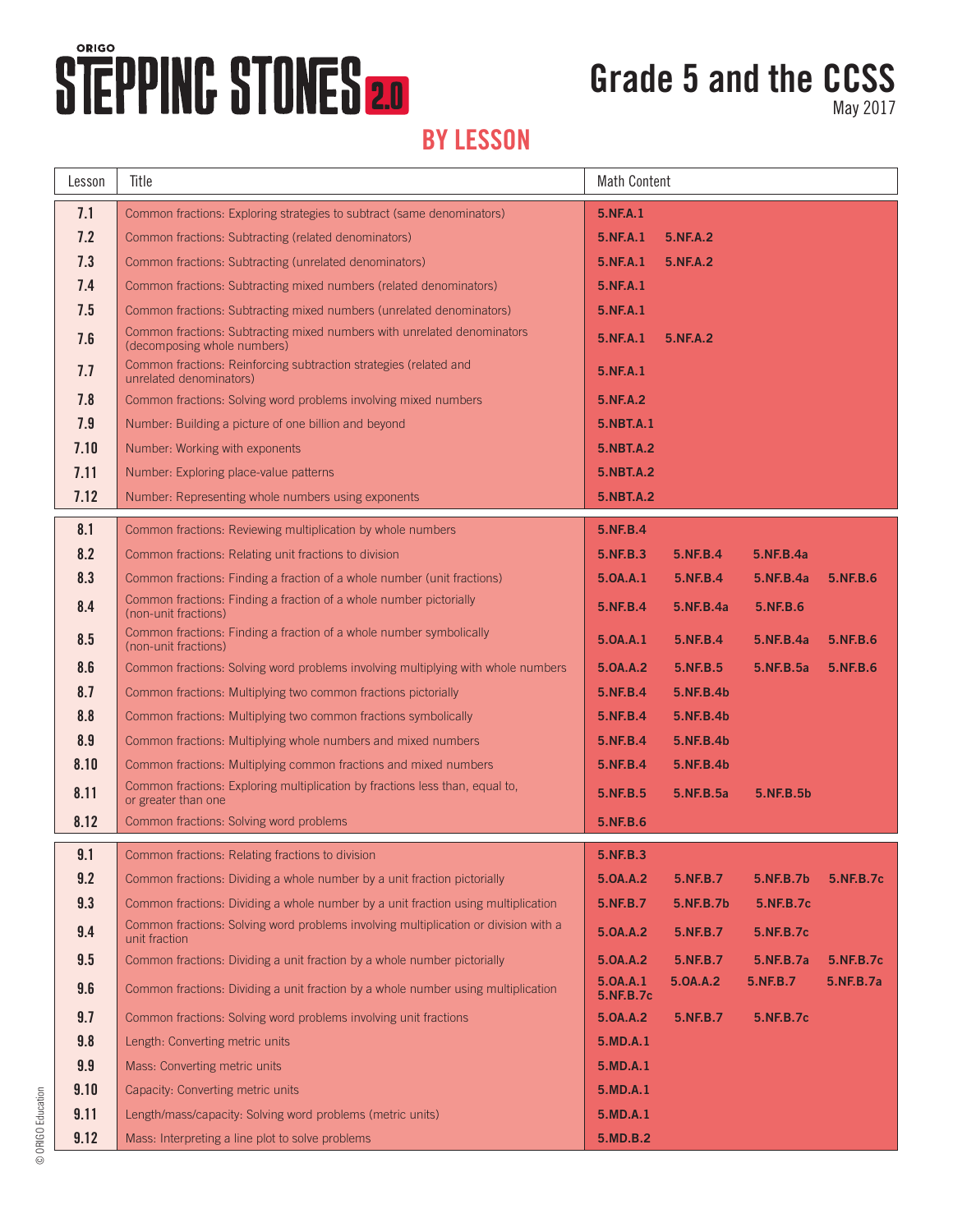# STEPPING STONES 20

## **Grade 5 and the CCSS**

May 2017

### **BY LESSON**

| Lesson | Title                                                                                                  | <b>Math Content</b>   |                 |           |           |
|--------|--------------------------------------------------------------------------------------------------------|-----------------------|-----------------|-----------|-----------|
| 7.1    | Common fractions: Exploring strategies to subtract (same denominators)                                 | 5.NF.A.1              |                 |           |           |
| 7.2    | Common fractions: Subtracting (related denominators)                                                   | 5.NF.A.1              | <b>5.NF.A.2</b> |           |           |
| 7.3    | Common fractions: Subtracting (unrelated denominators)                                                 | 5.NF.A.1              | <b>5.NF.A.2</b> |           |           |
| 7.4    | Common fractions: Subtracting mixed numbers (related denominators)                                     | 5.NF.A.1              |                 |           |           |
| 7.5    | Common fractions: Subtracting mixed numbers (unrelated denominators)                                   | 5.NF.A.1              |                 |           |           |
| 7.6    | Common fractions: Subtracting mixed numbers with unrelated denominators<br>(decomposing whole numbers) | 5.NF.A.1              | 5.NF.A.2        |           |           |
| 7.7    | Common fractions: Reinforcing subtraction strategies (related and<br>unrelated denominators)           | 5.NF.A.1              |                 |           |           |
| 7.8    | Common fractions: Solving word problems involving mixed numbers                                        | 5.NF.A.2              |                 |           |           |
| 7.9    | Number: Building a picture of one billion and beyond                                                   | <b>5.NBT.A.1</b>      |                 |           |           |
| 7.10   | Number: Working with exponents                                                                         | <b>5.NBT.A.2</b>      |                 |           |           |
| 7.11   | Number: Exploring place-value patterns                                                                 | <b>5.NBT.A.2</b>      |                 |           |           |
| 7.12   | Number: Representing whole numbers using exponents                                                     | 5.NBT.A.2             |                 |           |           |
| 8.1    | Common fractions: Reviewing multiplication by whole numbers                                            | 5.NF.B.4              |                 |           |           |
| 8.2    | Common fractions: Relating unit fractions to division                                                  | 5.NF.B.3              | 5.NF.B.4        | 5.NF.B.4a |           |
| 8.3    | Common fractions: Finding a fraction of a whole number (unit fractions)                                | 5.0A.A.1              | 5.NF.B.4        | 5.NF.B.4a | 5.NF.B.6  |
| 8.4    | Common fractions: Finding a fraction of a whole number pictorially<br>(non-unit fractions)             | 5.NF.B.4              | 5.NF.B.4a       | 5.NF.B.6  |           |
| 8.5    | Common fractions: Finding a fraction of a whole number symbolically<br>(non-unit fractions)            | 5.0A.A.1              | 5.NF.B.4        | 5.NF.B.4a | 5.NF.B.6  |
| 8.6    | Common fractions: Solving word problems involving multiplying with whole numbers                       | 5.0A.A.2              | 5.NF.B.5        | 5.NF.B.5a | 5.NF.B.6  |
| 8.7    | Common fractions: Multiplying two common fractions pictorially                                         | 5.NF.B.4              | 5.NF.B.4b       |           |           |
| 8.8    | Common fractions: Multiplying two common fractions symbolically                                        | 5.NF.B.4              | 5.NF.B.4b       |           |           |
| 8.9    | Common fractions: Multiplying whole numbers and mixed numbers                                          | 5.NF.B.4              | 5.NF.B.4b       |           |           |
| 8.10   | Common fractions: Multiplying common fractions and mixed numbers                                       | 5.NF.B.4              | 5.NF.B.4b       |           |           |
| 8.11   | Common fractions: Exploring multiplication by fractions less than, equal to,<br>or greater than one    | 5.NF.B.5              | 5.NF.B.5a       | 5.NF.B.5b |           |
| 8.12   | Common fractions: Solving word problems                                                                | 5.NF.B.6              |                 |           |           |
| 9.1    | Common fractions: Relating fractions to division                                                       | 5.NF.B.3              |                 |           |           |
| 9.2    | Common fractions: Dividing a whole number by a unit fraction pictorially                               | 5.0A.A.2              | 5.NF.B.7        | 5.NF.B.7b | 5.NF.B.7c |
| 9.3    | Common fractions: Dividing a whole number by a unit fraction using multiplication                      | 5.NF.B.7              | 5.NF.B.7b       | 5.NF.B.7c |           |
| 9.4    | Common fractions: Solving word problems involving multiplication or division with a<br>unit fraction   | 5.0A.A.2              | 5.NF.B.7        | 5.NF.B.7c |           |
| 9.5    | Common fractions: Dividing a unit fraction by a whole number pictorially                               | 5.0A.A.2              | 5.NF.B.7        | 5.NF.B.7a | 5.NF.B.7c |
| 9.6    | Common fractions: Dividing a unit fraction by a whole number using multiplication                      | 5.0A.A.1<br>5.NF.B.7c | 5.0A.A.2        | 5.NF.B.7  | 5.NF.B.7a |
| 9.7    | Common fractions: Solving word problems involving unit fractions                                       | 5.0A.A.2              | 5.NF.B.7        | 5.NF.B.7c |           |
| 9.8    | Length: Converting metric units                                                                        | 5.MD.A.1              |                 |           |           |
| 9.9    | Mass: Converting metric units                                                                          | 5.MD.A.1              |                 |           |           |
| 9.10   | Capacity: Converting metric units                                                                      | 5.MD.A.1              |                 |           |           |
| 9.11   | Length/mass/capacity: Solving word problems (metric units)                                             | 5.MD.A.1              |                 |           |           |
| 9.12   | Mass: Interpreting a line plot to solve problems                                                       | 5.MD.B.2              |                 |           |           |